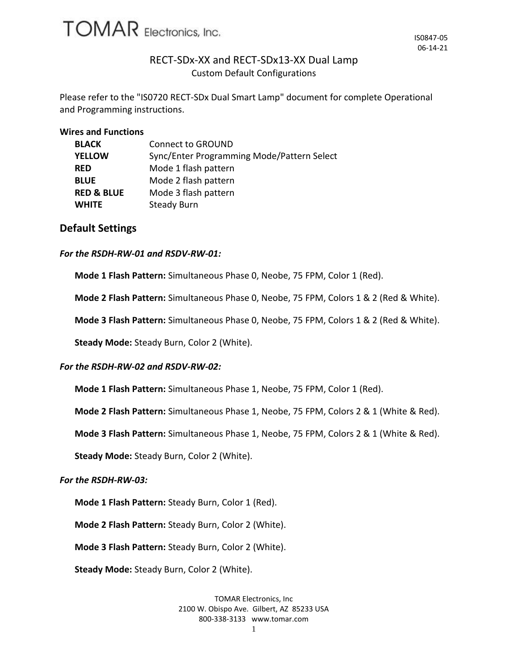

# RECT-SDx-XX and RECT-SDx13-XX Dual Lamp Custom Default Configurations

Please refer to the "IS0720 RECT-SDx Dual Smart Lamp" document for complete Operational and Programming instructions.

#### **Wires and Functions**

| <b>BLACK</b>          | <b>Connect to GROUND</b>                   |  |  |  |
|-----------------------|--------------------------------------------|--|--|--|
| <b>YELLOW</b>         | Sync/Enter Programming Mode/Pattern Select |  |  |  |
| <b>RED</b>            | Mode 1 flash pattern                       |  |  |  |
| <b>BLUE</b>           | Mode 2 flash pattern                       |  |  |  |
| <b>RED &amp; BLUE</b> | Mode 3 flash pattern                       |  |  |  |
| <b>WHITE</b>          | <b>Steady Burn</b>                         |  |  |  |

## **Default Settings**

## *For the RSDH-RW-01 and RSDV-RW-01:*

**Mode 1 Flash Pattern:** Simultaneous Phase 0, Neobe, 75 FPM, Color 1 (Red).

**Mode 2 Flash Pattern:** Simultaneous Phase 0, Neobe, 75 FPM, Colors 1 & 2 (Red & White).

**Mode 3 Flash Pattern:** Simultaneous Phase 0, Neobe, 75 FPM, Colors 1 & 2 (Red & White).

**Steady Mode:** Steady Burn, Color 2 (White).

## *For the RSDH-RW-02 and RSDV-RW-02:*

**Mode 1 Flash Pattern:** Simultaneous Phase 1, Neobe, 75 FPM, Color 1 (Red).

**Mode 2 Flash Pattern:** Simultaneous Phase 1, Neobe, 75 FPM, Colors 2 & 1 (White & Red).

**Mode 3 Flash Pattern:** Simultaneous Phase 1, Neobe, 75 FPM, Colors 2 & 1 (White & Red).

**Steady Mode:** Steady Burn, Color 2 (White).

## *For the RSDH-RW-03:*

**Mode 1 Flash Pattern:** Steady Burn, Color 1 (Red).

**Mode 2 Flash Pattern:** Steady Burn, Color 2 (White).

**Mode 3 Flash Pattern:** Steady Burn, Color 2 (White).

**Steady Mode:** Steady Burn, Color 2 (White).

TOMAR Electronics, Inc 2100 W. Obispo Ave. Gilbert, AZ 85233 USA 800-338-3133 www.tomar.com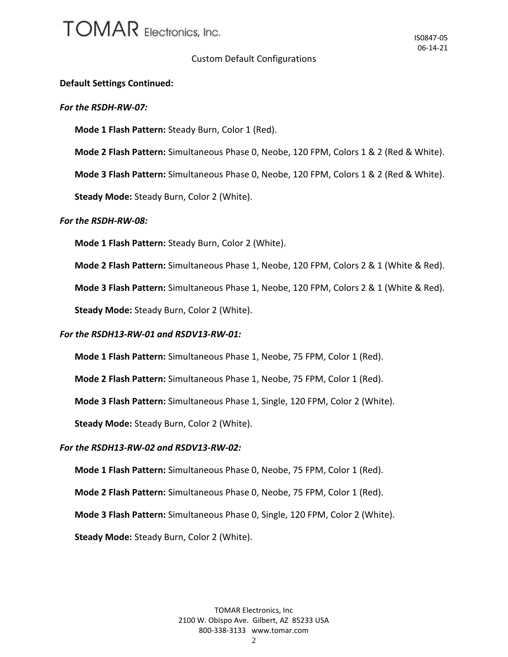# **TOMAR** Electronics, Inc.

## Custom Default Configurations

## **Default Settings Continued:**

#### *For the RSDH-RW-07:*

**Mode 1 Flash Pattern:** Steady Burn, Color 1 (Red).

**Mode 2 Flash Pattern:** Simultaneous Phase 0, Neobe, 120 FPM, Colors 1 & 2 (Red & White).

**Mode 3 Flash Pattern:** Simultaneous Phase 0, Neobe, 120 FPM, Colors 1 & 2 (Red & White).

**Steady Mode:** Steady Burn, Color 2 (White).

## *For the RSDH-RW-08:*

**Mode 1 Flash Pattern:** Steady Burn, Color 2 (White).

**Mode 2 Flash Pattern:** Simultaneous Phase 1, Neobe, 120 FPM, Colors 2 & 1 (White & Red).

**Mode 3 Flash Pattern:** Simultaneous Phase 1, Neobe, 120 FPM, Colors 2 & 1 (White & Red).

**Steady Mode:** Steady Burn, Color 2 (White).

## *For the RSDH13-RW-01 and RSDV13-RW-01:*

**Mode 1 Flash Pattern:** Simultaneous Phase 1, Neobe, 75 FPM, Color 1 (Red).

**Mode 2 Flash Pattern:** Simultaneous Phase 1, Neobe, 75 FPM, Color 1 (Red).

**Mode 3 Flash Pattern:** Simultaneous Phase 1, Single, 120 FPM, Color 2 (White).

**Steady Mode:** Steady Burn, Color 2 (White).

## *For the RSDH13-RW-02 and RSDV13-RW-02:*

**Mode 1 Flash Pattern:** Simultaneous Phase 0, Neobe, 75 FPM, Color 1 (Red).

**Mode 2 Flash Pattern:** Simultaneous Phase 0, Neobe, 75 FPM, Color 1 (Red).

**Mode 3 Flash Pattern:** Simultaneous Phase 0, Single, 120 FPM, Color 2 (White).

**Steady Mode:** Steady Burn, Color 2 (White).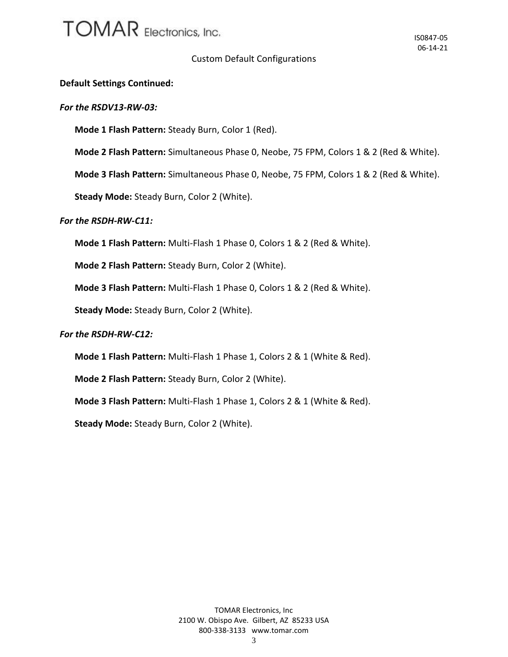# **TOMAR** Electronics, Inc.

## Custom Default Configurations

## **Default Settings Continued:**

## *For the RSDV13-RW-03:*

**Mode 1 Flash Pattern:** Steady Burn, Color 1 (Red).

**Mode 2 Flash Pattern:** Simultaneous Phase 0, Neobe, 75 FPM, Colors 1 & 2 (Red & White).

**Mode 3 Flash Pattern:** Simultaneous Phase 0, Neobe, 75 FPM, Colors 1 & 2 (Red & White).

**Steady Mode:** Steady Burn, Color 2 (White).

## *For the RSDH-RW-C11:*

**Mode 1 Flash Pattern:** Multi-Flash 1 Phase 0, Colors 1 & 2 (Red & White).

**Mode 2 Flash Pattern:** Steady Burn, Color 2 (White).

**Mode 3 Flash Pattern:** Multi-Flash 1 Phase 0, Colors 1 & 2 (Red & White).

**Steady Mode:** Steady Burn, Color 2 (White).

## *For the RSDH-RW-C12:*

**Mode 1 Flash Pattern:** Multi-Flash 1 Phase 1, Colors 2 & 1 (White & Red).

**Mode 2 Flash Pattern:** Steady Burn, Color 2 (White).

**Mode 3 Flash Pattern:** Multi-Flash 1 Phase 1, Colors 2 & 1 (White & Red).

**Steady Mode:** Steady Burn, Color 2 (White).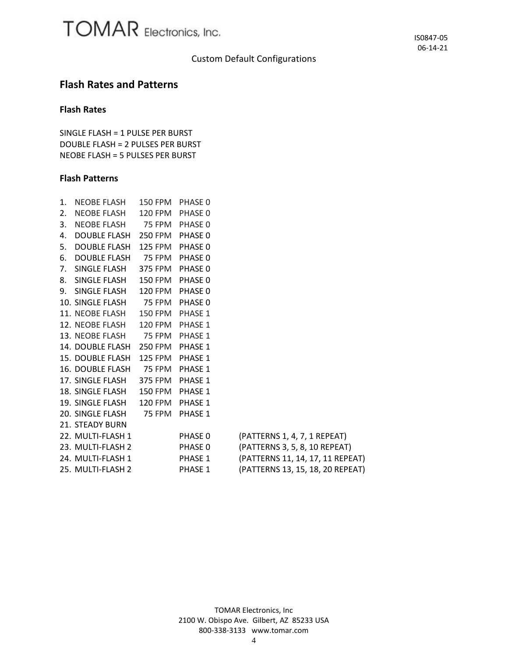## Custom Default Configurations

## **Flash Rates and Patterns**

## **Flash Rates**

SINGLE FLASH = 1 PULSE PER BURST DOUBLE FLASH = 2 PULSES PER BURST NEOBE FLASH = 5 PULSES PER BURST

## **Flash Patterns**

| $1_{-}$        | NEOBE FLASH                      | 150 FPM PHASE 0 |         |                                  |
|----------------|----------------------------------|-----------------|---------|----------------------------------|
| 2.             | NEOBE FLASH                      | 120 FPM         | PHASE 0 |                                  |
| 3.             | NEOBE FLASH 75 FPM PHASE 0       |                 |         |                                  |
| 4.             | DOUBLE FLASH 250 FPM PHASE 0     |                 |         |                                  |
| 5.             | DOUBLE FLASH 125 FPM PHASE 0     |                 |         |                                  |
| 6.             | DOUBLE FLASH 75 FPM              |                 | PHASE 0 |                                  |
| 7 <sup>1</sup> | SINGLE FLASH                     | 375 FPM PHASE 0 |         |                                  |
|                | 8. SINGLE FLASH 150 FPM PHASE 0  |                 |         |                                  |
|                | 9. SINGLE FLASH 120 FPM PHASE 0  |                 |         |                                  |
|                | 10. SINGLE FLASH 75 FPM PHASE 0  |                 |         |                                  |
|                | 11. NEOBE FLASH 150 FPM PHASE 1  |                 |         |                                  |
|                | 12. NEOBE FLASH                  | 120 FPM         | PHASE 1 |                                  |
|                | 13. NEOBE FLASH 75 FPM PHASE 1   |                 |         |                                  |
|                | 14. DOUBLE FLASH 250 FPM PHASE 1 |                 |         |                                  |
|                | 15. DOUBLE FLASH 125 FPM PHASE 1 |                 |         |                                  |
|                | 16. DOUBLE FLASH 75 FPM          |                 | PHASE 1 |                                  |
|                | 17. SINGLE FLASH 375 FPM PHASE 1 |                 |         |                                  |
|                | 18. SINGLE FLASH 150 FPM         |                 | PHASE 1 |                                  |
|                | 19. SINGLE FLASH 120 FPM         |                 | PHASE 1 |                                  |
|                | 20. SINGLE FLASH                 | 75 FPM          | PHASE 1 |                                  |
|                | 21. STEADY BURN                  |                 |         |                                  |
|                | 22. MULTI-FLASH 1                |                 | PHASE 0 | (PATTERNS 1, 4, 7, 1 REPEAT)     |
|                | 23. MULTI-FLASH 2                |                 | PHASE 0 | (PATTERNS 3, 5, 8, 10 REPEAT)    |
|                | 24. MULTI-FLASH 1                |                 | PHASE 1 | (PATTERNS 11, 14, 17, 11 REPEAT) |
|                | 25. MULTI-FLASH 2                |                 | PHASE 1 | (PATTERNS 13, 15, 18, 20 REPEAT) |